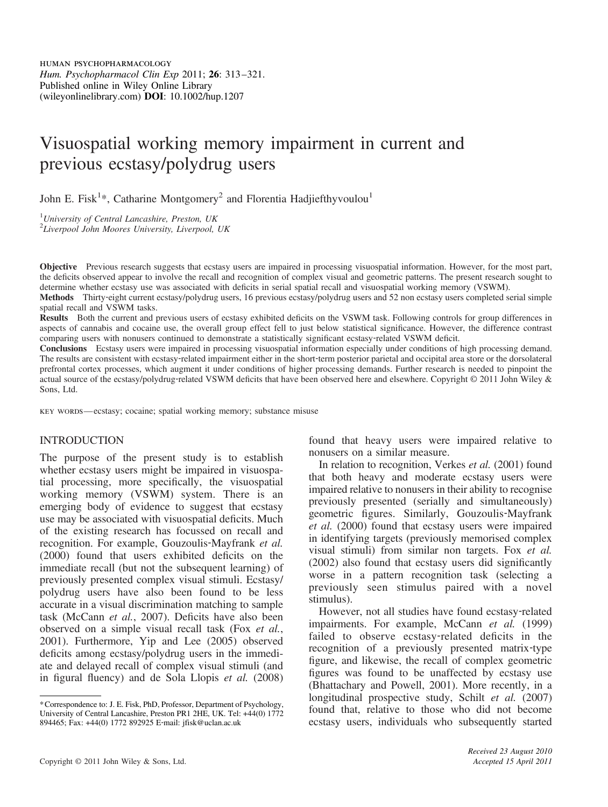human psychopharmacology Hum. Psychopharmacol Clin Exp 2011; 26: 313–321. Published online in Wiley Online Library (wileyonlinelibrary.com) DOI: 10.1002/hup.1207

# Visuospatial working memory impairment in current and previous ecstasy/polydrug users

John E. Fisk<sup>1\*</sup>, Catharine Montgomery<sup>2</sup> and Florentia Hadjiefthyvoulou<sup>1</sup>

<sup>1</sup>University of Central Lancashire, Preston, UK <sup>2</sup>Liverpool John Moores University, Liverpool, UK

Objective Previous research suggests that ecstasy users are impaired in processing visuospatial information. However, for the most part, the deficits observed appear to involve the recall and recognition of complex visual and geometric patterns. The present research sought to determine whether ecstasy use was associated with deficits in serial spatial recall and visuospatial working memory (VSWM).

Methods Thirty-eight current ecstasy/polydrug users, 16 previous ecstasy/polydrug users and 52 non ecstasy users completed serial simple spatial recall and VSWM tasks.

Results Both the current and previous users of ecstasy exhibited deficits on the VSWM task. Following controls for group differences in aspects of cannabis and cocaine use, the overall group effect fell to just below statistical significance. However, the difference contrast comparing users with nonusers continued to demonstrate a statistically significant ecstasy-related VSWM deficit.

Conclusions Ecstasy users were impaired in processing visuospatial information especially under conditions of high processing demand. The results are consistent with ecstasy-related impairment either in the short-term posterior parietal and occipital area store or the dorsolateral prefrontal cortex processes, which augment it under conditions of higher processing demands. Further research is needed to pinpoint the actual source of the ecstasy/polydrug-related VSWM deficits that have been observed here and elsewhere. Copyright © 2011 John Wiley & Sons, Ltd.

key words—ecstasy; cocaine; spatial working memory; substance misuse

## INTRODUCTION

The purpose of the present study is to establish whether ecstasy users might be impaired in visuospatial processing, more specifically, the visuospatial working memory (VSWM) system. There is an emerging body of evidence to suggest that ecstasy use may be associated with visuospatial deficits. Much of the existing research has focussed on recall and recognition. For example, Gouzoulis‐Mayfrank et al. (2000) found that users exhibited deficits on the immediate recall (but not the subsequent learning) of previously presented complex visual stimuli. Ecstasy/ polydrug users have also been found to be less accurate in a visual discrimination matching to sample task (McCann et al., 2007). Deficits have also been observed on a simple visual recall task (Fox et al., 2001). Furthermore, Yip and Lee (2005) observed deficits among ecstasy/polydrug users in the immediate and delayed recall of complex visual stimuli (and in figural fluency) and de Sola Llopis et al. (2008)

\*Correspondence to: J. E. Fisk, PhD, Professor, Department of Psychology, University of Central Lancashire, Preston PR1 2HE, UK. Tel: +44(0) 1772 894465; Fax: +44(0) 1772 892925 E‐mail: jfisk@uclan.ac.uk

found that heavy users were impaired relative to nonusers on a similar measure.

In relation to recognition, Verkes et al. (2001) found that both heavy and moderate ecstasy users were impaired relative to nonusers in their ability to recognise previously presented (serially and simultaneously) geometric figures. Similarly, Gouzoulis‐Mayfrank et al. (2000) found that ecstasy users were impaired in identifying targets (previously memorised complex visual stimuli) from similar non targets. Fox et al. (2002) also found that ecstasy users did significantly worse in a pattern recognition task (selecting a previously seen stimulus paired with a novel stimulus).

However, not all studies have found ecstasy-related impairments. For example, McCann et al. (1999) failed to observe ecstasy-related deficits in the recognition of a previously presented matrix‐type figure, and likewise, the recall of complex geometric figures was found to be unaffected by ecstasy use (Bhattachary and Powell, 2001). More recently, in a longitudinal prospective study, Schilt et al. (2007) found that, relative to those who did not become ecstasy users, individuals who subsequently started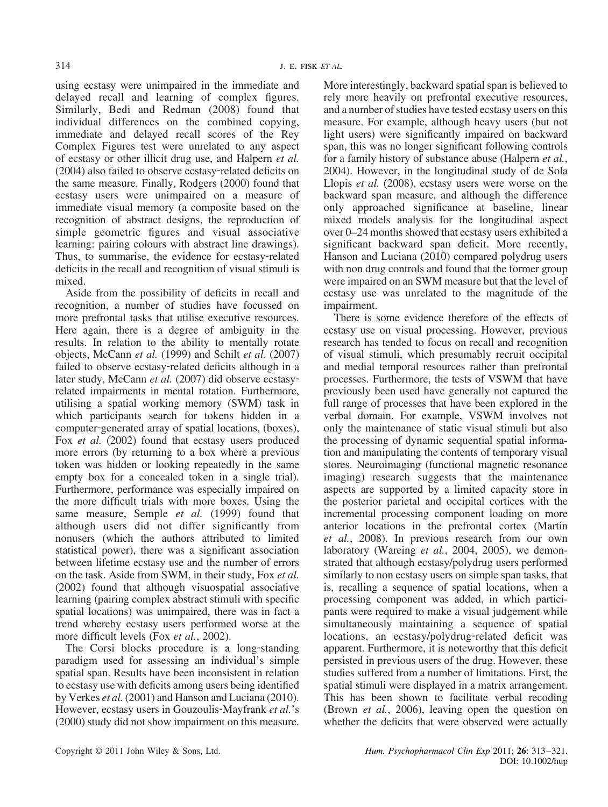using ecstasy were unimpaired in the immediate and delayed recall and learning of complex figures. Similarly, Bedi and Redman (2008) found that individual differences on the combined copying, immediate and delayed recall scores of the Rey Complex Figures test were unrelated to any aspect of ecstasy or other illicit drug use, and Halpern et al. (2004) also failed to observe ecstasy‐related deficits on the same measure. Finally, Rodgers (2000) found that ecstasy users were unimpaired on a measure of immediate visual memory (a composite based on the recognition of abstract designs, the reproduction of simple geometric figures and visual associative learning: pairing colours with abstract line drawings). Thus, to summarise, the evidence for ecstasy‐related deficits in the recall and recognition of visual stimuli is mixed.

Aside from the possibility of deficits in recall and recognition, a number of studies have focussed on more prefrontal tasks that utilise executive resources. Here again, there is a degree of ambiguity in the results. In relation to the ability to mentally rotate objects, McCann et al. (1999) and Schilt et al. (2007) failed to observe ecstasy-related deficits although in a later study, McCann et al. (2007) did observe ecstasy‐ related impairments in mental rotation. Furthermore, utilising a spatial working memory (SWM) task in which participants search for tokens hidden in a computer‐generated array of spatial locations, (boxes), Fox *et al.* (2002) found that ecstasy users produced more errors (by returning to a box where a previous token was hidden or looking repeatedly in the same empty box for a concealed token in a single trial). Furthermore, performance was especially impaired on the more difficult trials with more boxes. Using the same measure, Semple *et al.* (1999) found that although users did not differ significantly from nonusers (which the authors attributed to limited statistical power), there was a significant association between lifetime ecstasy use and the number of errors on the task. Aside from SWM, in their study, Fox et al. (2002) found that although visuospatial associative learning (pairing complex abstract stimuli with specific spatial locations) was unimpaired, there was in fact a trend whereby ecstasy users performed worse at the more difficult levels (Fox *et al.*, 2002).

The Corsi blocks procedure is a long-standing paradigm used for assessing an individual's simple spatial span. Results have been inconsistent in relation to ecstasy use with deficits among users being identified by Verkes et al. (2001) and Hanson and Luciana (2010). However, ecstasy users in Gouzoulis‐Mayfrank et al.'s (2000) study did not show impairment on this measure. More interestingly, backward spatial span is believed to rely more heavily on prefrontal executive resources, and a number of studies have tested ecstasy users on this measure. For example, although heavy users (but not light users) were significantly impaired on backward span, this was no longer significant following controls for a family history of substance abuse (Halpern *et al.*, 2004). However, in the longitudinal study of de Sola Llopis et al. (2008), ecstasy users were worse on the backward span measure, and although the difference only approached significance at baseline, linear mixed models analysis for the longitudinal aspect over 0–24 months showed that ecstasy users exhibited a significant backward span deficit. More recently, Hanson and Luciana (2010) compared polydrug users with non drug controls and found that the former group were impaired on an SWM measure but that the level of ecstasy use was unrelated to the magnitude of the impairment.

There is some evidence therefore of the effects of ecstasy use on visual processing. However, previous research has tended to focus on recall and recognition of visual stimuli, which presumably recruit occipital and medial temporal resources rather than prefrontal processes. Furthermore, the tests of VSWM that have previously been used have generally not captured the full range of processes that have been explored in the verbal domain. For example, VSWM involves not only the maintenance of static visual stimuli but also the processing of dynamic sequential spatial information and manipulating the contents of temporary visual stores. Neuroimaging (functional magnetic resonance imaging) research suggests that the maintenance aspects are supported by a limited capacity store in the posterior parietal and occipital cortices with the incremental processing component loading on more anterior locations in the prefrontal cortex (Martin et al., 2008). In previous research from our own laboratory (Wareing et al., 2004, 2005), we demonstrated that although ecstasy/polydrug users performed similarly to non ecstasy users on simple span tasks, that is, recalling a sequence of spatial locations, when a processing component was added, in which participants were required to make a visual judgement while simultaneously maintaining a sequence of spatial locations, an ecstasy/polydrug-related deficit was apparent. Furthermore, it is noteworthy that this deficit persisted in previous users of the drug. However, these studies suffered from a number of limitations. First, the spatial stimuli were displayed in a matrix arrangement. This has been shown to facilitate verbal recoding (Brown et al., 2006), leaving open the question on whether the deficits that were observed were actually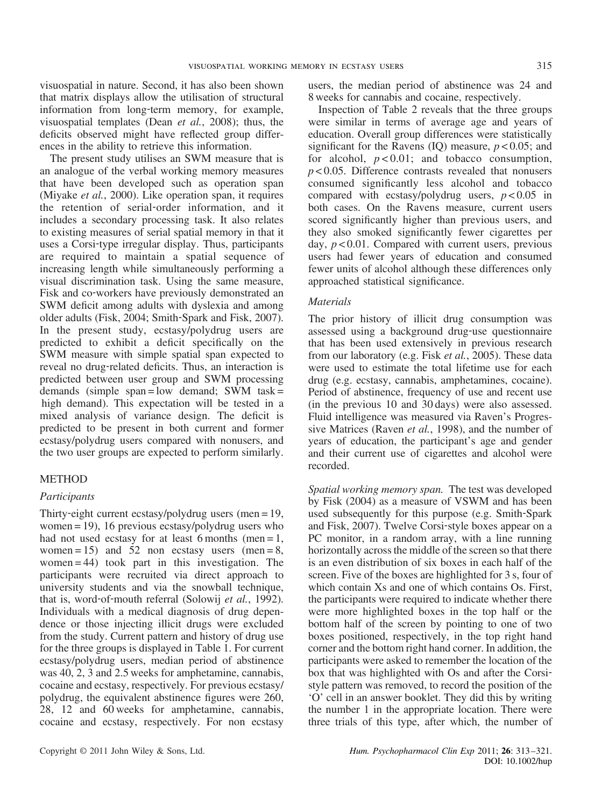visuospatial in nature. Second, it has also been shown that matrix displays allow the utilisation of structural information from long-term memory, for example, visuospatial templates (Dean et al., 2008); thus, the deficits observed might have reflected group differences in the ability to retrieve this information.

The present study utilises an SWM measure that is an analogue of the verbal working memory measures that have been developed such as operation span (Miyake et al., 2000). Like operation span, it requires the retention of serial‐order information, and it includes a secondary processing task. It also relates to existing measures of serial spatial memory in that it uses a Corsi-type irregular display. Thus, participants are required to maintain a spatial sequence of increasing length while simultaneously performing a visual discrimination task. Using the same measure, Fisk and co-workers have previously demonstrated an SWM deficit among adults with dyslexia and among older adults (Fisk, 2004; Smith‐Spark and Fisk, 2007). In the present study, ecstasy/polydrug users are predicted to exhibit a deficit specifically on the SWM measure with simple spatial span expected to reveal no drug-related deficits. Thus, an interaction is predicted between user group and SWM processing demands (simple span = low demand; SWM task = high demand). This expectation will be tested in a mixed analysis of variance design. The deficit is predicted to be present in both current and former ecstasy/polydrug users compared with nonusers, and the two user groups are expected to perform similarly.

## **METHOD**

#### Participants

Thirty-eight current ecstasy/polydrug users (men  $= 19$ , women  $= 19$ ), 16 previous ecstasy/polydrug users who had not used ecstasy for at least 6 months (men = 1, women = 15) and 52 non ecstasy users (men =  $8$ , women  $= 44$ ) took part in this investigation. The participants were recruited via direct approach to university students and via the snowball technique, that is, word‐of‐mouth referral (Solowij et al., 1992). Individuals with a medical diagnosis of drug dependence or those injecting illicit drugs were excluded from the study. Current pattern and history of drug use for the three groups is displayed in Table 1. For current ecstasy/polydrug users, median period of abstinence was 40, 2, 3 and 2.5 weeks for amphetamine, cannabis, cocaine and ecstasy, respectively. For previous ecstasy/ polydrug, the equivalent abstinence figures were 260, 28, 12 and 60 weeks for amphetamine, cannabis, cocaine and ecstasy, respectively. For non ecstasy

users, the median period of abstinence was 24 and 8 weeks for cannabis and cocaine, respectively.

Inspection of Table 2 reveals that the three groups were similar in terms of average age and years of education. Overall group differences were statistically significant for the Ravens (IO) measure,  $p < 0.05$ ; and for alcohol,  $p < 0.01$ ; and tobacco consumption,  $p < 0.05$ . Difference contrasts revealed that nonusers consumed significantly less alcohol and tobacco compared with ecstasy/polydrug users,  $p < 0.05$  in both cases. On the Ravens measure, current users scored significantly higher than previous users, and they also smoked significantly fewer cigarettes per day,  $p < 0.01$ . Compared with current users, previous users had fewer years of education and consumed fewer units of alcohol although these differences only approached statistical significance.

#### **Materials**

The prior history of illicit drug consumption was assessed using a background drug‐use questionnaire that has been used extensively in previous research from our laboratory (e.g. Fisk et al., 2005). These data were used to estimate the total lifetime use for each drug (e.g. ecstasy, cannabis, amphetamines, cocaine). Period of abstinence, frequency of use and recent use (in the previous 10 and 30 days) were also assessed. Fluid intelligence was measured via Raven's Progressive Matrices (Raven *et al.*, 1998), and the number of years of education, the participant's age and gender and their current use of cigarettes and alcohol were recorded.

Spatial working memory span. The test was developed by Fisk (2004) as a measure of VSWM and has been used subsequently for this purpose (e.g. Smith‐Spark and Fisk, 2007). Twelve Corsi‐style boxes appear on a PC monitor, in a random array, with a line running horizontally across the middle of the screen so that there is an even distribution of six boxes in each half of the screen. Five of the boxes are highlighted for 3 s, four of which contain Xs and one of which contains Os. First, the participants were required to indicate whether there were more highlighted boxes in the top half or the bottom half of the screen by pointing to one of two boxes positioned, respectively, in the top right hand corner and the bottom right hand corner. In addition, the participants were asked to remember the location of the box that was highlighted with Os and after the Corsistyle pattern was removed, to record the position of the 'O' cell in an answer booklet. They did this by writing the number 1 in the appropriate location. There were three trials of this type, after which, the number of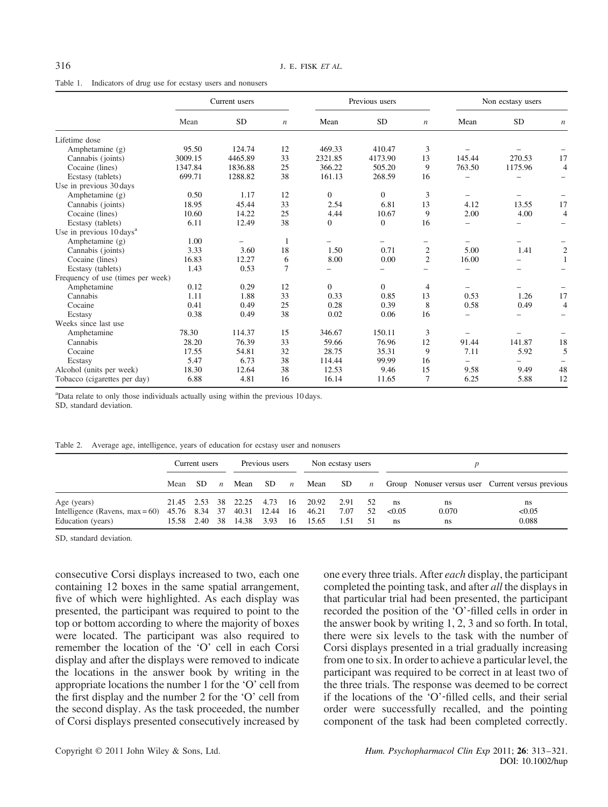| Table 1. | Indicators of drug use for ecstasy users and nonusers |  |  |  |  |  |  |  |  |  |
|----------|-------------------------------------------------------|--|--|--|--|--|--|--|--|--|
|----------|-------------------------------------------------------|--|--|--|--|--|--|--|--|--|

|                                              |         | Current users            |                  |                   | Previous users |                          | Non ecstasy users        |           |                  |
|----------------------------------------------|---------|--------------------------|------------------|-------------------|----------------|--------------------------|--------------------------|-----------|------------------|
|                                              | Mean    | <b>SD</b>                | $\boldsymbol{n}$ | Mean              | <b>SD</b>      | $\boldsymbol{n}$         | Mean                     | <b>SD</b> | $\boldsymbol{n}$ |
| Lifetime dose                                |         |                          |                  |                   |                |                          |                          |           |                  |
| Amphetamine (g)                              | 95.50   | 124.74                   | 12               | 469.33            | 410.47         | 3                        |                          |           |                  |
| Cannabis (joints)                            | 3009.15 | 4465.89                  | 33               | 2321.85           | 4173.90        | 13                       | 145.44                   | 270.53    | 17               |
| Cocaine (lines)                              | 1347.84 | 1836.88                  | 25               | 366.22            | 505.20         | 9                        | 763.50                   | 1175.96   | $\overline{4}$   |
| Ecstasy (tablets)                            | 699.71  | 1288.82                  | 38               | 161.13            | 268.59         | 16                       |                          |           |                  |
| Use in previous 30 days                      |         |                          |                  |                   |                |                          |                          |           |                  |
| Amphetamine (g)                              | 0.50    | 1.17                     | 12               | $\boldsymbol{0}$  | $\theta$       | 3                        | -                        |           |                  |
| Cannabis (joints)                            | 18.95   | 45.44                    | 33               | 2.54              | 6.81           | 13                       | 4.12                     | 13.55     | 17               |
| Cocaine (lines)                              | 10.60   | 14.22                    | 25               | 4.44              | 10.67          | 9                        | 2.00                     | 4.00      | $\overline{4}$   |
| Ecstasy (tablets)                            | 6.11    | 12.49                    | 38               | $\boldsymbol{0}$  | $\theta$       | 16                       |                          |           |                  |
| Use in previous $10 \text{ days}^{\text{a}}$ |         |                          |                  |                   |                |                          |                          |           |                  |
| Amphetamine $(g)$                            | 1.00    | $\overline{\phantom{0}}$ |                  | $\qquad \qquad -$ |                | -                        | $\overline{\phantom{0}}$ |           |                  |
| Cannabis (joints)                            | 3.33    | 3.60                     | 18               | 1.50              | 0.71           | $\mathfrak{2}$           | 5.00                     | 1.41      | $\overline{c}$   |
| Cocaine (lines)                              | 16.83   | 12.27                    | 6                | 8.00              | 0.00           | $\mathfrak{2}$           | 16.00                    |           |                  |
| Ecstasy (tablets)                            | 1.43    | 0.53                     | $\overline{7}$   |                   |                | $\overline{\phantom{0}}$ | $\overline{\phantom{0}}$ |           |                  |
| Frequency of use (times per week)            |         |                          |                  |                   |                |                          |                          |           |                  |
| Amphetamine                                  | 0.12    | 0.29                     | 12               | $\Omega$          | $\Omega$       | 4                        |                          |           |                  |
| Cannabis                                     | 1.11    | 1.88                     | 33               | 0.33              | 0.85           | 13                       | 0.53                     | 1.26      | 17               |
| Cocaine                                      | 0.41    | 0.49                     | 25               | 0.28              | 0.39           | 8                        | 0.58                     | 0.49      | $\overline{4}$   |
| Ecstasy                                      | 0.38    | 0.49                     | 38               | 0.02              | 0.06           | 16                       |                          |           |                  |
| Weeks since last use                         |         |                          |                  |                   |                |                          |                          |           |                  |
| Amphetamine                                  | 78.30   | 114.37                   | 15               | 346.67            | 150.11         | 3                        |                          |           |                  |
| Cannabis                                     | 28.20   | 76.39                    | 33               | 59.66             | 76.96          | 12                       | 91.44                    | 141.87    | 18               |
| Cocaine                                      | 17.55   | 54.81                    | 32               | 28.75             | 35.31          | 9                        | 7.11                     | 5.92      | 5                |
| Ecstasy                                      | 5.47    | 6.73                     | 38               | 114.44            | 99.99          | 16                       |                          |           |                  |
| Alcohol (units per week)                     | 18.30   | 12.64                    | 38               | 12.53             | 9.46           | 15                       | 9.58                     | 9.49      | 48               |
| Tobacco (cigarettes per day)                 | 6.88    | 4.81                     | 16               | 16.14             | 11.65          | 7                        | 6.25                     | 5.88      | 12               |

<sup>a</sup>Data relate to only those individuals actually using within the previous 10 days.

SD, standard deviation.

Table 2. Average age, intelligence, years of education for ecstasy user and nonusers

|                                                                                                    | Current users |               | Previous users |                                      | Non ecstasy users |                |                         |                      |                  |                    |                   |                                                   |
|----------------------------------------------------------------------------------------------------|---------------|---------------|----------------|--------------------------------------|-------------------|----------------|-------------------------|----------------------|------------------|--------------------|-------------------|---------------------------------------------------|
|                                                                                                    | Mean          | SD.           | $\mathfrak{n}$ | Mean                                 | SD.               | $\overline{n}$ | Mean                    | SD.                  | $\boldsymbol{n}$ |                    |                   | Group Nonuser versus user Current versus previous |
| Age (years)<br>Intelligence (Ravens, max = 60) $45.76$ 8.34 37 40.31 12.44 16<br>Education (years) |               | 15.58 2.40 38 |                | 21.45 2.53 38 22.25 4.73 16<br>14.38 | 3.93              | -16            | 20.92<br>46.21<br>15.65 | 2.91<br>7.07<br>1.51 | 52<br>52         | ns<br>< 0.05<br>ns | ns<br>0.070<br>ns | ns<br>< 0.05<br>0.088                             |

SD, standard deviation.

consecutive Corsi displays increased to two, each one containing 12 boxes in the same spatial arrangement, five of which were highlighted. As each display was presented, the participant was required to point to the top or bottom according to where the majority of boxes were located. The participant was also required to remember the location of the 'O' cell in each Corsi display and after the displays were removed to indicate the locations in the answer book by writing in the appropriate locations the number 1 for the 'O' cell from the first display and the number 2 for the 'O' cell from the second display. As the task proceeded, the number of Corsi displays presented consecutively increased by

one every three trials. After each display, the participant completed the pointing task, and after all the displays in that particular trial had been presented, the participant recorded the position of the 'O'‐filled cells in order in the answer book by writing 1, 2, 3 and so forth. In total, there were six levels to the task with the number of Corsi displays presented in a trial gradually increasing from one to six. In order to achieve a particular level, the participant was required to be correct in at least two of the three trials. The response was deemed to be correct if the locations of the 'O'‐filled cells, and their serial order were successfully recalled, and the pointing component of the task had been completed correctly.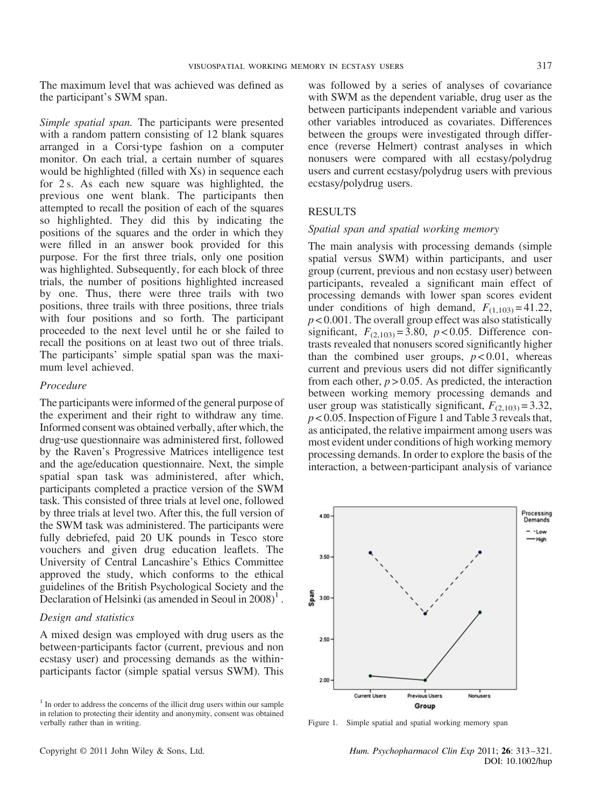The maximum level that was achieved was defined as the participant's SWM span.

Simple spatial span. The participants were presented with a random pattern consisting of 12 blank squares arranged in a Corsi‐type fashion on a computer monitor. On each trial, a certain number of squares would be highlighted (filled with Xs) in sequence each for 2 s. As each new square was highlighted, the previous one went blank. The participants then attempted to recall the position of each of the squares so highlighted. They did this by indicating the positions of the squares and the order in which they were filled in an answer book provided for this purpose. For the first three trials, only one position was highlighted. Subsequently, for each block of three trials, the number of positions highlighted increased by one. Thus, there were three trails with two positions, three trails with three positions, three trials with four positions and so forth. The participant proceeded to the next level until he or she failed to recall the positions on at least two out of three trials. The participants' simple spatial span was the maximum level achieved.

#### Procedure

The participants were informed of the general purpose of the experiment and their right to withdraw any time. Informed consent was obtained verbally, after which, the drug‐use questionnaire was administered first, followed by the Raven's Progressive Matrices intelligence test and the age/education questionnaire. Next, the simple spatial span task was administered, after which, participants completed a practice version of the SWM task. This consisted of three trials at level one, followed by three trials at level two. After this, the full version of the SWM task was administered. The participants were fully debriefed, paid 20 UK pounds in Tesco store vouchers and given drug education leaflets. The University of Central Lancashire's Ethics Committee approved the study, which conforms to the ethical guidelines of the British Psychological Society and the Declaration of Helsinki (as amended in Seoul in  $2008$ )<sup>1</sup>.

#### Design and statistics

A mixed design was employed with drug users as the between-participants factor (current, previous and non ecstasy user) and processing demands as the within‐ participants factor (simple spatial versus SWM). This was followed by a series of analyses of covariance with SWM as the dependent variable, drug user as the between participants independent variable and various other variables introduced as covariates. Differences between the groups were investigated through difference (reverse Helmert) contrast analyses in which nonusers were compared with all ecstasy/polydrug users and current ecstasy/polydrug users with previous ecstasy/polydrug users.

#### RESULTS

#### Spatial span and spatial working memory

The main analysis with processing demands (simple spatial versus SWM) within participants, and user group (current, previous and non ecstasy user) between participants, revealed a significant main effect of processing demands with lower span scores evident under conditions of high demand,  $F_{(1,103)} = 41.22$ ,  $p < 0.001$ . The overall group effect was also statistically significant,  $F_{(2,103)} = 3.80, p < 0.05$ . Difference contrasts revealed that nonusers scored significantly higher than the combined user groups,  $p < 0.01$ , whereas current and previous users did not differ significantly from each other,  $p > 0.05$ . As predicted, the interaction between working memory processing demands and user group was statistically significant,  $F_{(2,103)} = 3.32$ ,  $p < 0.05$ . Inspection of Figure 1 and Table 3 reveals that, as anticipated, the relative impairment among users was most evident under conditions of high working memory processing demands. In order to explore the basis of the interaction, a between‐participant analysis of variance



Figure 1. Simple spatial and spatial working memory span

 $<sup>1</sup>$  In order to address the concerns of the illicit drug users within our sample</sup> in relation to protecting their identity and anonymity, consent was obtained verbally rather than in writing.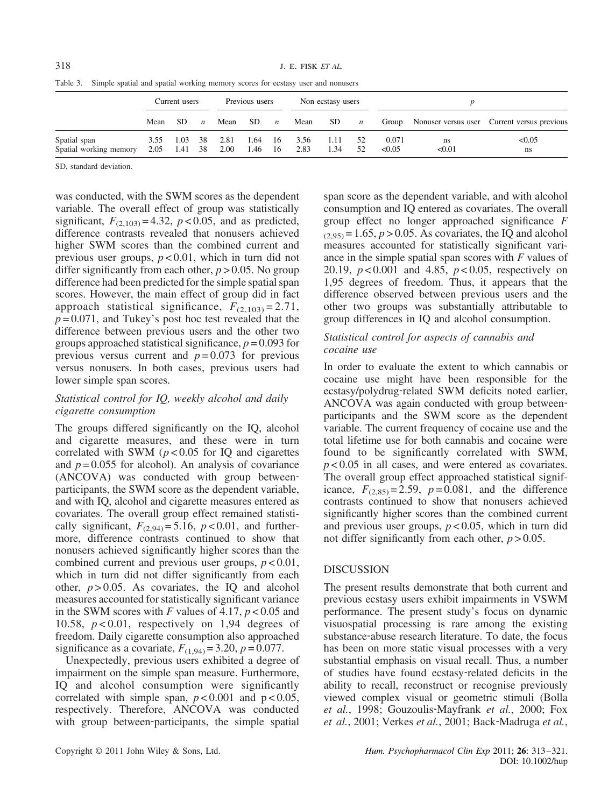318 j. e. fisk ET AL.

|                                        | Current users |         | Previous users   |                           |                    | Non ecstasy users |              |              |                  |                 |              |                                                   |
|----------------------------------------|---------------|---------|------------------|---------------------------|--------------------|-------------------|--------------|--------------|------------------|-----------------|--------------|---------------------------------------------------|
|                                        | Mean          | SD.     | $\boldsymbol{n}$ | Mean                      | SD.                | $\overline{n}$    | Mean         | SD.          | $\boldsymbol{n}$ |                 |              | Group Nonuser versus user Current versus previous |
| Spatial span<br>Spatial working memory | 3.55          | 1.03 38 |                  | 2.81<br>2.05 1.41 38 2.00 | 1.64 16<br>1.46 16 |                   | 3.56<br>2.83 | 1.11<br>1.34 | -52<br>52        | 0.071<br>< 0.05 | ns<br>< 0.01 | < 0.05<br>ns                                      |

Table 3. Simple spatial and spatial working memory scores for ecstasy user and nonusers

SD, standard deviation.

was conducted, with the SWM scores as the dependent variable. The overall effect of group was statistically significant,  $F_{(2,103)} = 4.32$ ,  $p < 0.05$ , and as predicted, difference contrasts revealed that nonusers achieved higher SWM scores than the combined current and previous user groups,  $p < 0.01$ , which in turn did not differ significantly from each other,  $p > 0.05$ . No group difference had been predicted for the simple spatial span scores. However, the main effect of group did in fact approach statistical significance,  $F_{(2,103)} = 2.71$ ,  $p = 0.071$ , and Tukey's post hoc test revealed that the difference between previous users and the other two groups approached statistical significance,  $p = 0.093$  for previous versus current and  $p = 0.073$  for previous versus nonusers. In both cases, previous users had lower simple span scores.

# Statistical control for IQ, weekly alcohol and daily cigarette consumption

The groups differed significantly on the IQ, alcohol and cigarette measures, and these were in turn correlated with SWM ( $p < 0.05$  for IQ and cigarettes and  $p = 0.055$  for alcohol). An analysis of covariance (ANCOVA) was conducted with group between‐ participants, the SWM score as the dependent variable, and with IQ, alcohol and cigarette measures entered as covariates. The overall group effect remained statistically significant,  $F_{(2,94)} = 5.16$ ,  $p < 0.01$ , and furthermore, difference contrasts continued to show that nonusers achieved significantly higher scores than the combined current and previous user groups,  $p < 0.01$ , which in turn did not differ significantly from each other,  $p > 0.05$ . As covariates, the IQ and alcohol measures accounted for statistically significant variance in the SWM scores with F values of 4.17,  $p < 0.05$  and 10.58,  $p < 0.01$ , respectively on 1,94 degrees of freedom. Daily cigarette consumption also approached significance as a covariate,  $F_{(1,94)} = 3.20$ ,  $p = 0.077$ .

Unexpectedly, previous users exhibited a degree of impairment on the simple span measure. Furthermore, IQ and alcohol consumption were significantly correlated with simple span,  $p < 0.001$  and  $p < 0.05$ , respectively. Therefore, ANCOVA was conducted with group between-participants, the simple spatial span score as the dependent variable, and with alcohol consumption and IQ entered as covariates. The overall group effect no longer approached significance F  $(2.95) = 1.65$ ,  $p > 0.05$ . As covariates, the IQ and alcohol measures accounted for statistically significant variance in the simple spatial span scores with  $F$  values of 20.19,  $p < 0.001$  and 4.85,  $p < 0.05$ , respectively on 1,95 degrees of freedom. Thus, it appears that the difference observed between previous users and the other two groups was substantially attributable to group differences in IQ and alcohol consumption.

## Statistical control for aspects of cannabis and cocaine use

In order to evaluate the extent to which cannabis or cocaine use might have been responsible for the ecstasy/polydrug‐related SWM deficits noted earlier, ANCOVA was again conducted with group between‐ participants and the SWM score as the dependent variable. The current frequency of cocaine use and the total lifetime use for both cannabis and cocaine were found to be significantly correlated with SWM,  $p < 0.05$  in all cases, and were entered as covariates. The overall group effect approached statistical significance,  $F_{(2,85)} = 2.59$ ,  $p = 0.081$ , and the difference contrasts continued to show that nonusers achieved significantly higher scores than the combined current and previous user groups,  $p < 0.05$ , which in turn did not differ significantly from each other,  $p > 0.05$ .

# DISCUSSION

The present results demonstrate that both current and previous ecstasy users exhibit impairments in VSWM performance. The present study's focus on dynamic visuospatial processing is rare among the existing substance‐abuse research literature. To date, the focus has been on more static visual processes with a very substantial emphasis on visual recall. Thus, a number of studies have found ecstasy‐related deficits in the ability to recall, reconstruct or recognise previously viewed complex visual or geometric stimuli (Bolla et al., 1998; Gouzoulis‐Mayfrank et al., 2000; Fox et al., 2001; Verkes et al., 2001; Back‐Madruga et al.,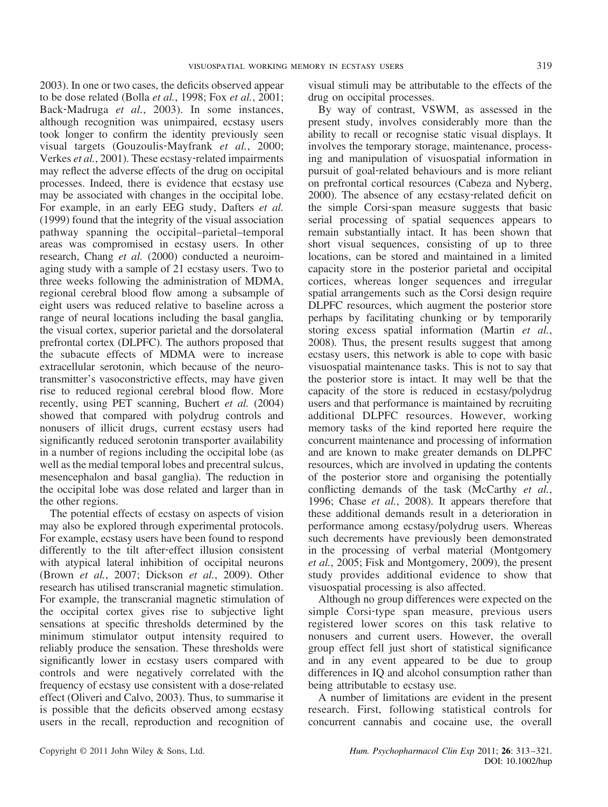2003). In one or two cases, the deficits observed appear to be dose related (Bolla et al., 1998; Fox et al., 2001; Back‐Madruga et al., 2003). In some instances, although recognition was unimpaired, ecstasy users took longer to confirm the identity previously seen visual targets (Gouzoulis‐Mayfrank et al., 2000; Verkes *et al.*, 2001). These ecstasy-related impairments may reflect the adverse effects of the drug on occipital processes. Indeed, there is evidence that ecstasy use may be associated with changes in the occipital lobe. For example, in an early EEG study, Dafters et al. (1999) found that the integrity of the visual association pathway spanning the occipital–parietal–temporal areas was compromised in ecstasy users. In other research, Chang et al. (2000) conducted a neuroimaging study with a sample of 21 ecstasy users. Two to three weeks following the administration of MDMA, regional cerebral blood flow among a subsample of eight users was reduced relative to baseline across a range of neural locations including the basal ganglia, the visual cortex, superior parietal and the dorsolateral prefrontal cortex (DLPFC). The authors proposed that the subacute effects of MDMA were to increase extracellular serotonin, which because of the neurotransmitter's vasoconstrictive effects, may have given rise to reduced regional cerebral blood flow. More recently, using PET scanning, Buchert et al. (2004) showed that compared with polydrug controls and nonusers of illicit drugs, current ecstasy users had significantly reduced serotonin transporter availability in a number of regions including the occipital lobe (as well as the medial temporal lobes and precentral sulcus, mesencephalon and basal ganglia). The reduction in the occipital lobe was dose related and larger than in the other regions.

The potential effects of ecstasy on aspects of vision may also be explored through experimental protocols. For example, ecstasy users have been found to respond differently to the tilt after‐effect illusion consistent with atypical lateral inhibition of occipital neurons (Brown et al., 2007; Dickson et al., 2009). Other research has utilised transcranial magnetic stimulation. For example, the transcranial magnetic stimulation of the occipital cortex gives rise to subjective light sensations at specific thresholds determined by the minimum stimulator output intensity required to reliably produce the sensation. These thresholds were significantly lower in ecstasy users compared with controls and were negatively correlated with the frequency of ecstasy use consistent with a dose-related effect (Oliveri and Calvo, 2003). Thus, to summarise it is possible that the deficits observed among ecstasy users in the recall, reproduction and recognition of

visual stimuli may be attributable to the effects of the drug on occipital processes.

By way of contrast, VSWM, as assessed in the present study, involves considerably more than the ability to recall or recognise static visual displays. It involves the temporary storage, maintenance, processing and manipulation of visuospatial information in pursuit of goal‐related behaviours and is more reliant on prefrontal cortical resources (Cabeza and Nyberg, 2000). The absence of any ecstasy‐related deficit on the simple Corsi‐span measure suggests that basic serial processing of spatial sequences appears to remain substantially intact. It has been shown that short visual sequences, consisting of up to three locations, can be stored and maintained in a limited capacity store in the posterior parietal and occipital cortices, whereas longer sequences and irregular spatial arrangements such as the Corsi design require DLPFC resources, which augment the posterior store perhaps by facilitating chunking or by temporarily storing excess spatial information (Martin et al., 2008). Thus, the present results suggest that among ecstasy users, this network is able to cope with basic visuospatial maintenance tasks. This is not to say that the posterior store is intact. It may well be that the capacity of the store is reduced in ecstasy/polydrug users and that performance is maintained by recruiting additional DLPFC resources. However, working memory tasks of the kind reported here require the concurrent maintenance and processing of information and are known to make greater demands on DLPFC resources, which are involved in updating the contents of the posterior store and organising the potentially conflicting demands of the task (McCarthy et al., 1996; Chase et al., 2008). It appears therefore that these additional demands result in a deterioration in performance among ecstasy/polydrug users. Whereas such decrements have previously been demonstrated in the processing of verbal material (Montgomery et al., 2005; Fisk and Montgomery, 2009), the present study provides additional evidence to show that visuospatial processing is also affected.

Although no group differences were expected on the simple Corsi-type span measure, previous users registered lower scores on this task relative to nonusers and current users. However, the overall group effect fell just short of statistical significance and in any event appeared to be due to group differences in IQ and alcohol consumption rather than being attributable to ecstasy use.

A number of limitations are evident in the present research. First, following statistical controls for concurrent cannabis and cocaine use, the overall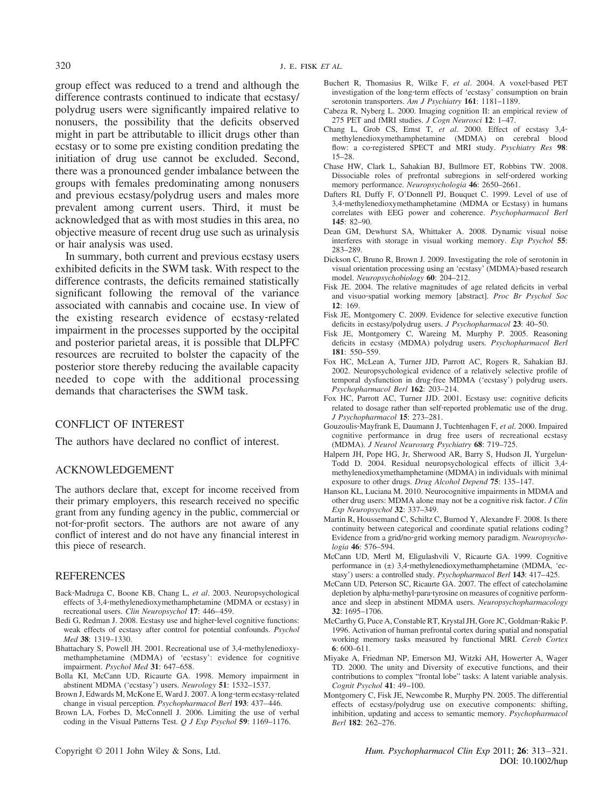group effect was reduced to a trend and although the difference contrasts continued to indicate that ecstasy/ polydrug users were significantly impaired relative to nonusers, the possibility that the deficits observed might in part be attributable to illicit drugs other than ecstasy or to some pre existing condition predating the initiation of drug use cannot be excluded. Second, there was a pronounced gender imbalance between the groups with females predominating among nonusers and previous ecstasy/polydrug users and males more prevalent among current users. Third, it must be acknowledged that as with most studies in this area, no objective measure of recent drug use such as urinalysis or hair analysis was used.

In summary, both current and previous ecstasy users exhibited deficits in the SWM task. With respect to the difference contrasts, the deficits remained statistically significant following the removal of the variance associated with cannabis and cocaine use. In view of the existing research evidence of ecstasy‐related impairment in the processes supported by the occipital and posterior parietal areas, it is possible that DLPFC resources are recruited to bolster the capacity of the posterior store thereby reducing the available capacity needed to cope with the additional processing demands that characterises the SWM task.

## CONFLICT OF INTEREST

The authors have declared no conflict of interest.

#### ACKNOWLEDGEMENT

The authors declare that, except for income received from their primary employers, this research received no specific grant from any funding agency in the public, commercial or not‐for‐profit sectors. The authors are not aware of any conflict of interest and do not have any financial interest in this piece of research.

#### REFERENCES

- Back‐Madruga C, Boone KB, Chang L, et al. 2003. Neuropsychological effects of 3,4‐methylenedioxymethamphetamine (MDMA or ecstasy) in recreational users. Clin Neuropsychol 17: 446–459.
- Bedi G, Redman J. 2008. Ecstasy use and higher-level cognitive functions: weak effects of ecstasy after control for potential confounds. Psychol Med 38: 1319–1330.
- Bhattachary S, Powell JH. 2001. Recreational use of 3,4‐methylenedioxymethamphetamine (MDMA) of 'ecstasy': evidence for cognitive impairment. Psychol Med 31: 647–658.
- Bolla KI, McCann UD, Ricaurte GA. 1998. Memory impairment in abstinent MDMA ('ecstasy') users. Neurology 51: 1532–1537.
- Brown J, Edwards M, McKone E, Ward J. 2007. A long-term ecstasy-related change in visual perception. Psychopharmacol Berl 193: 437–446.
- Brown LA, Forbes D, McConnell J. 2006. Limiting the use of verbal coding in the Visual Patterns Test. Q J Exp Psychol 59: 1169–1176.
- Buchert R, Thomasius R, Wilke F, et al. 2004. A voxel-based PET investigation of the long‐term effects of 'ecstasy' consumption on brain serotonin transporters. Am J Psychiatry 161: 1181-1189.
- Cabeza R, Nyberg L. 2000. Imaging cognition II: an empirical review of 275 PET and fMRI studies. J Cogn Neurosci 12: 1-47.
- Chang L, Grob CS, Ernst T, et al. 2000. Effect of ecstasy 3,4‐ methylenedioxymethamphetamine (MDMA) on cerebral blood flow: a co-registered SPECT and MRI study. Psychiatry Res 98: 15–28.
- Chase HW, Clark L, Sahakian BJ, Bullmore ET, Robbins TW. 2008. Dissociable roles of prefrontal subregions in self-ordered working memory performance. Neuropsychologia 46: 2650–2661.
- Dafters RI, Duffy F, O'Donnell PJ, Bouquet C. 1999. Level of use of 3,4‐methylenedioxymethamphetamine (MDMA or Ecstasy) in humans correlates with EEG power and coherence. Psychopharmacol Berl 145: 82–90.
- Dean GM, Dewhurst SA, Whittaker A. 2008. Dynamic visual noise interferes with storage in visual working memory. Exp Psychol 55: 283–289.
- Dickson C, Bruno R, Brown J. 2009. Investigating the role of serotonin in visual orientation processing using an 'ecstasy' (MDMA)‐based research model. Neuropsychobiology 60: 204–212.
- Fisk JE. 2004. The relative magnitudes of age related deficits in verbal and visuo‐spatial working memory [abstract]. Proc Br Psychol Soc 12: 169.
- Fisk JE, Montgomery C. 2009. Evidence for selective executive function deficits in ecstasy/polydrug users. J Psychopharmacol 23: 40–50.
- Fisk JE, Montgomery C, Wareing M, Murphy P. 2005. Reasoning deficits in ecstasy (MDMA) polydrug users. Psychopharmacol Berl 181: 550–559.
- Fox HC, McLean A, Turner JJD, Parrott AC, Rogers R, Sahakian BJ. 2002. Neuropsychological evidence of a relatively selective profile of temporal dysfunction in drug-free MDMA ('ecstasy') polydrug users. Psychopharmacol Berl 162: 203–214.
- Fox HC, Parrott AC, Turner JJD. 2001. Ecstasy use: cognitive deficits related to dosage rather than self‐reported problematic use of the drug. J Psychopharmacol 15: 273–281.
- Gouzoulis‐Mayfrank E, Daumann J, Tuchtenhagen F, et al. 2000. Impaired cognitive performance in drug free users of recreational ecstasy (MDMA). J Neurol Neurosurg Psychiatry 68: 719–725.
- Halpern JH, Pope HG, Jr, Sherwood AR, Barry S, Hudson JI, Yurgelun-Todd D. 2004. Residual neuropsychological effects of illicit 3,4‐ methylenedioxymethamphetamine (MDMA) in individuals with minimal exposure to other drugs. Drug Alcohol Depend 75: 135–147.
- Hanson KL, Luciana M. 2010. Neurocognitive impairments in MDMA and other drug users: MDMA alone may not be a cognitive risk factor. J Clin Exp Neuropsychol 32: 337–349.
- Martin R, Houssemand C, Schiltz C, Burnod Y, Alexandre F. 2008. Is there continuity between categorical and coordinate spatial relations coding? Evidence from a grid/no‐grid working memory paradigm. Neuropsychologia 46: 576–594.
- McCann UD, Mertl M, Eligulashvili V, Ricaurte GA. 1999. Cognitive performance in (±) 3,4‐methylenedioxymethamphetamine (MDMA, 'ecstasy') users: a controlled study. Psychopharmacol Berl 143: 417–425.
- McCann UD, Peterson SC, Ricaurte GA. 2007. The effect of catecholamine depletion by alpha‐methyl‐para‐tyrosine on measures of cognitive performance and sleep in abstinent MDMA users. Neuropsychopharmacology 32: 1695–1706.
- McCarthy G, Puce A, Constable RT, Krystal JH, Gore JC, Goldman‐Rakic P. 1996. Activation of human prefrontal cortex during spatial and nonspatial working memory tasks measured by functional MRI. Cereb Cortex 6: 600–611.
- Miyake A, Friedman NP, Emerson MJ, Witzki AH, Howerter A, Wager TD. 2000. The unity and Diversity of executive functions, and their contributions to complex "frontal lobe" tasks: A latent variable analysis. Cognit Psychol 41: 49–100.
- Montgomery C, Fisk JE, Newcombe R, Murphy PN. 2005. The differential effects of ecstasy/polydrug use on executive components: shifting, inhibition, updating and access to semantic memory. Psychopharmacol Berl 182: 262–276.